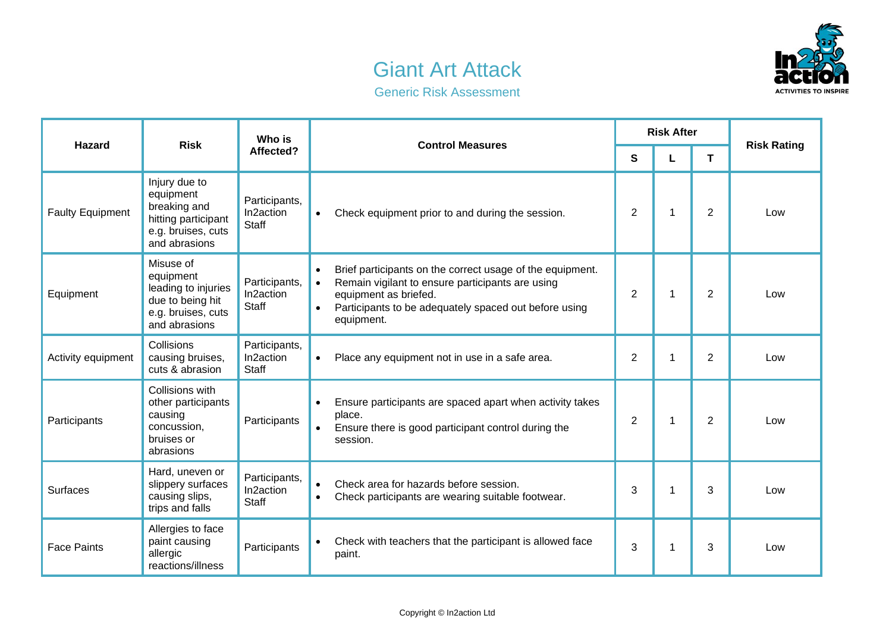## Giant Art Attack



Generic Risk Assessment

| <b>Hazard</b>           | <b>Risk</b>                                                                                              | Who is<br>Affected?                        | <b>Control Measures</b>                                                                                                                                                                                                                              | <b>Risk After</b> |              |                |                    |
|-------------------------|----------------------------------------------------------------------------------------------------------|--------------------------------------------|------------------------------------------------------------------------------------------------------------------------------------------------------------------------------------------------------------------------------------------------------|-------------------|--------------|----------------|--------------------|
|                         |                                                                                                          |                                            |                                                                                                                                                                                                                                                      | S                 | L            | T              | <b>Risk Rating</b> |
| <b>Faulty Equipment</b> | Injury due to<br>equipment<br>breaking and<br>hitting participant<br>e.g. bruises, cuts<br>and abrasions | Participants,<br>In2action<br>Staff        | Check equipment prior to and during the session.<br>$\bullet$                                                                                                                                                                                        | 2                 | 1            | $\overline{2}$ | Low                |
| Equipment               | Misuse of<br>equipment<br>leading to injuries<br>due to being hit<br>e.g. bruises, cuts<br>and abrasions | Participants,<br>In2action<br><b>Staff</b> | Brief participants on the correct usage of the equipment.<br>$\bullet$<br>Remain vigilant to ensure participants are using<br>$\bullet$<br>equipment as briefed.<br>Participants to be adequately spaced out before using<br>$\bullet$<br>equipment. | 2                 | $\mathbf{1}$ | 2              | Low                |
| Activity equipment      | Collisions<br>causing bruises,<br>cuts & abrasion                                                        | Participants,<br>In2action<br><b>Staff</b> | Place any equipment not in use in a safe area.<br>$\bullet$                                                                                                                                                                                          | $\overline{2}$    | 1            | $\overline{2}$ | Low                |
| Participants            | Collisions with<br>other participants<br>causing<br>concussion,<br>bruises or<br>abrasions               | Participants                               | Ensure participants are spaced apart when activity takes<br>place.<br>Ensure there is good participant control during the<br>session.                                                                                                                | 2                 | 1            | 2              | Low                |
| Surfaces                | Hard, uneven or<br>slippery surfaces<br>causing slips,<br>trips and falls                                | Participants,<br>In2action<br><b>Staff</b> | Check area for hazards before session.<br>$\bullet$<br>Check participants are wearing suitable footwear.<br>$\bullet$                                                                                                                                | 3                 | 1            | 3              | Low                |
| <b>Face Paints</b>      | Allergies to face<br>paint causing<br>allergic<br>reactions/illness                                      | Participants                               | Check with teachers that the participant is allowed face<br>paint.                                                                                                                                                                                   | 3                 | 1            | 3              | Low                |